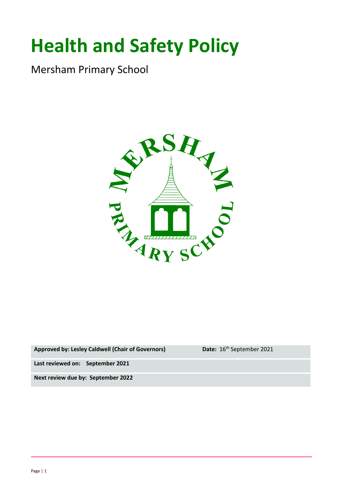# **Health and Safety Policy**

Mersham Primary School



Approved by: Lesley Caldwell (Chair of Governors) **Date:** 16<sup>th</sup> September 2021

**Last reviewed on: September 2021**

**Next review due by: September 2022**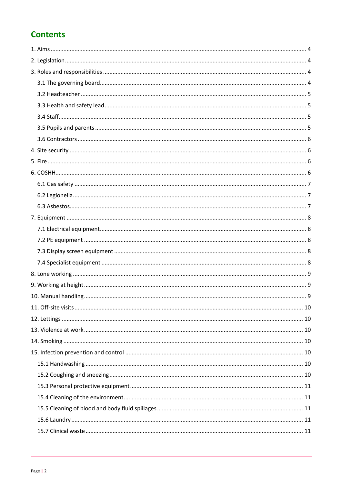# **Contents**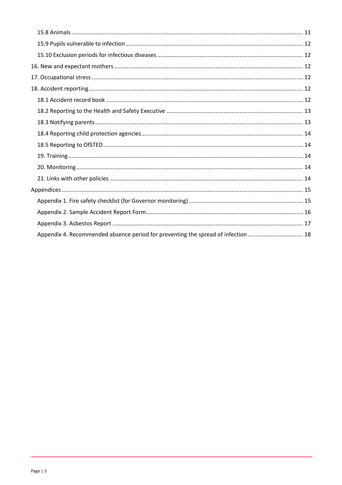| Appendix 4. Recommended absence period for preventing the spread of infection 18 |
|----------------------------------------------------------------------------------|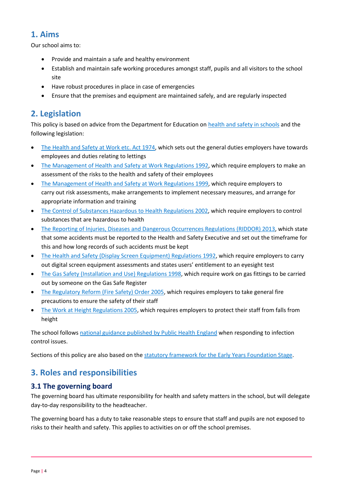## <span id="page-3-0"></span>**1. Aims**

Our school aims to:

- Provide and maintain a safe and healthy environment
- Establish and maintain safe working procedures amongst staff, pupils and all visitors to the school site
- Have robust procedures in place in case of emergencies
- Ensure that the premises and equipment are maintained safely, and are regularly inspected

## <span id="page-3-1"></span>**2. Legislation**

This policy is based on advice from the Department for Education on [health and safety in schools](https://www.gov.uk/government/publications/health-and-safety-advice-for-schools) and the following legislation:

- [The Health and Safety at Work etc. Act 1974,](http://www.legislation.gov.uk/ukpga/1974/37) which sets out the general duties employers have towards employees and duties relating to lettings
- [The Management of Health and Safety at Work Regulations 1992,](http://www.legislation.gov.uk/uksi/1992/2051/regulation/3/made) which require employers to make an assessment of the risks to the health and safety of their employees
- [The Management of Health and Safety at Work Regulations 1999,](http://www.legislation.gov.uk/uksi/1999/3242/contents/made) which require employers to carry out risk assessments, make arrangements to implement necessary measures, and arrange for appropriate information and training
- [The Control of Substances Hazardous to Health Regulations 2002,](http://www.legislation.gov.uk/uksi/2002/2677/contents/made) which require employers to control substances that are hazardous to health
- [The Reporting of Injuries, Diseases and Dangerous Occurrences Regulations \(RIDDOR\) 2013,](http://www.legislation.gov.uk/uksi/2013/1471/schedule/1/paragraph/1/made) which state that some accidents must be reported to the Health and Safety Executive and set out the timeframe for this and how long records of such accidents must be kept
- [The Health and Safety \(Display Screen Equipment\) Regulations 1992,](http://www.legislation.gov.uk/uksi/1992/2792/contents/made) which require employers to carry out digital screen equipment assessments and states users' entitlement to an eyesight test
- [The Gas Safety \(Installation and Use\) Regulations 1998,](http://www.legislation.gov.uk/uksi/1998/2451/regulation/4/made) which require work on gas fittings to be carried out by someone on the Gas Safe Register
- [The Regulatory Reform \(Fire Safety\) Order 2005,](http://www.legislation.gov.uk/uksi/2005/1541/part/2/made) which requires employers to take general fire precautions to ensure the safety of their staff
- [The Work at Height Regulations 2005,](http://www.legislation.gov.uk/uksi/2005/735/contents/made) which requires employers to protect their staff from falls from height

The school follows [national guidance published by Public Health England](https://www.gov.uk/government/publications/health-protection-in-schools-and-other-childcare-facilities/chapter-9-managing-specific-infectious-diseases) when responding to infection control issues.

Sections of this policy are also based on the [statutory framework for the Early Years Foundation Stage.](https://www.gov.uk/government/publications/early-years-foundation-stage-framework--2)

## <span id="page-3-2"></span>**3. Roles and responsibilities**

#### <span id="page-3-3"></span>**3.1 The governing board**

The governing board has ultimate responsibility for health and safety matters in the school, but will delegate day-to-day responsibility to the headteacher.

The governing board has a duty to take reasonable steps to ensure that staff and pupils are not exposed to risks to their health and safety. This applies to activities on or off the school premises.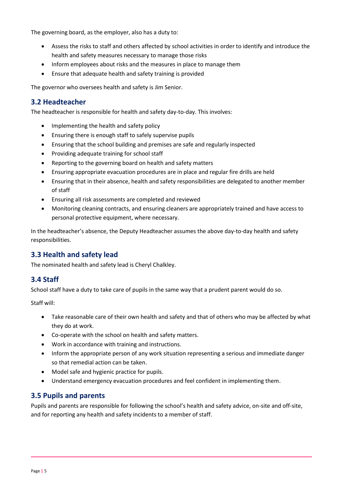The governing board, as the employer, also has a duty to:

- Assess the risks to staff and others affected by school activities in order to identify and introduce the health and safety measures necessary to manage those risks
- Inform employees about risks and the measures in place to manage them
- Ensure that adequate health and safety training is provided

The governor who oversees health and safety is Jim Senior.

#### <span id="page-4-0"></span>**3.2 Headteacher**

The headteacher is responsible for health and safety day-to-day. This involves:

- Implementing the health and safety policy
- Ensuring there is enough staff to safely supervise pupils
- Ensuring that the school building and premises are safe and regularly inspected
- Providing adequate training for school staff
- Reporting to the governing board on health and safety matters
- Ensuring appropriate evacuation procedures are in place and regular fire drills are held
- Ensuring that in their absence, health and safety responsibilities are delegated to another member of staff
- Ensuring all risk assessments are completed and reviewed
- Monitoring cleaning contracts, and ensuring cleaners are appropriately trained and have access to personal protective equipment, where necessary.

In the headteacher's absence, the Deputy Headteacher assumes the above day-to-day health and safety responsibilities.

#### <span id="page-4-1"></span>**3.3 Health and safety lead**

The nominated health and safety lead is Cheryl Chalkley.

#### <span id="page-4-2"></span>**3.4 Staff**

School staff have a duty to take care of pupils in the same way that a prudent parent would do so.

Staff will:

- Take reasonable care of their own health and safety and that of others who may be affected by what they do at work.
- Co-operate with the school on health and safety matters.
- Work in accordance with training and instructions.
- Inform the appropriate person of any work situation representing a serious and immediate danger so that remedial action can be taken.
- Model safe and hygienic practice for pupils.
- Understand emergency evacuation procedures and feel confident in implementing them.

#### <span id="page-4-3"></span>**3.5 Pupils and parents**

Pupils and parents are responsible for following the school's health and safety advice, on-site and off-site, and for reporting any health and safety incidents to a member of staff.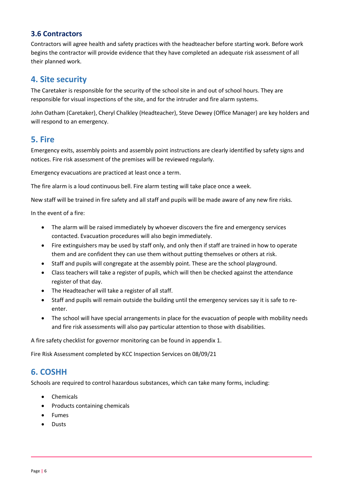#### <span id="page-5-0"></span>**3.6 Contractors**

Contractors will agree health and safety practices with the headteacher before starting work. Before work begins the contractor will provide evidence that they have completed an adequate risk assessment of all their planned work.

## <span id="page-5-1"></span>**4. Site security**

The Caretaker is responsible for the security of the school site in and out of school hours. They are responsible for visual inspections of the site, and for the intruder and fire alarm systems.

John Oatham (Caretaker), Cheryl Chalkley (Headteacher), Steve Dewey (Office Manager) are key holders and will respond to an emergency.

## <span id="page-5-2"></span>**5. Fire**

Emergency exits, assembly points and assembly point instructions are clearly identified by safety signs and notices. Fire risk assessment of the premises will be reviewed regularly.

Emergency evacuations are practiced at least once a term.

The fire alarm is a loud continuous bell. Fire alarm testing will take place once a week.

New staff will be trained in fire safety and all staff and pupils will be made aware of any new fire risks.

In the event of a fire:

- The alarm will be raised immediately by whoever discovers the fire and emergency services contacted. Evacuation procedures will also begin immediately.
- Fire extinguishers may be used by staff only, and only then if staff are trained in how to operate them and are confident they can use them without putting themselves or others at risk.
- Staff and pupils will congregate at the assembly point. These are the school playground.
- Class teachers will take a register of pupils, which will then be checked against the attendance register of that day.
- The Headteacher will take a register of all staff.
- Staff and pupils will remain outside the building until the emergency services say it is safe to reenter.
- The school will have special arrangements in place for the evacuation of people with mobility needs and fire risk assessments will also pay particular attention to those with disabilities.

A fire safety checklist for governor monitoring can be found in appendix 1.

Fire Risk Assessment completed by KCC Inspection Services on 08/09/21

#### <span id="page-5-3"></span>**6. COSHH**

Schools are required to control hazardous substances, which can take many forms, including:

- Chemicals
- Products containing chemicals
- Fumes
- Dusts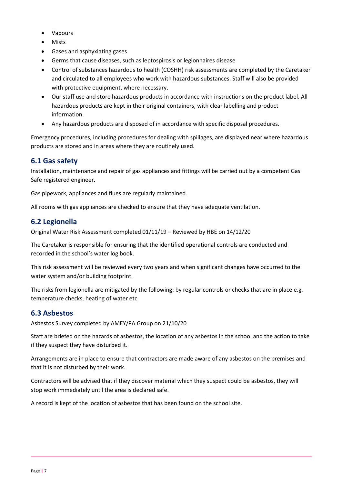- Vapours
- Mists
- Gases and asphyxiating gases
- Germs that cause diseases, such as leptospirosis or legionnaires disease
- Control of substances hazardous to health (COSHH) risk assessments are completed by the Caretaker and circulated to all employees who work with hazardous substances. Staff will also be provided with protective equipment, where necessary.
- Our staff use and store hazardous products in accordance with instructions on the product label. All hazardous products are kept in their original containers, with clear labelling and product information.
- Any hazardous products are disposed of in accordance with specific disposal procedures.

Emergency procedures, including procedures for dealing with spillages, are displayed near where hazardous products are stored and in areas where they are routinely used.

#### <span id="page-6-0"></span>**6.1 Gas safety**

Installation, maintenance and repair of gas appliances and fittings will be carried out by a competent Gas Safe registered engineer.

Gas pipework, appliances and flues are regularly maintained.

All rooms with gas appliances are checked to ensure that they have adequate ventilation.

#### <span id="page-6-1"></span>**6.2 Legionella**

Original Water Risk Assessment completed 01/11/19 – Reviewed by HBE on 14/12/20

The Caretaker is responsible for ensuring that the identified operational controls are conducted and recorded in the school's water log book.

This risk assessment will be reviewed every two years and when significant changes have occurred to the water system and/or building footprint.

The risks from legionella are mitigated by the following: by regular controls or checks that are in place e.g. temperature checks, heating of water etc.

#### <span id="page-6-2"></span>**6.3 Asbestos**

Asbestos Survey completed by AMEY/PA Group on 21/10/20

Staff are briefed on the hazards of asbestos, the location of any asbestos in the school and the action to take if they suspect they have disturbed it.

Arrangements are in place to ensure that contractors are made aware of any asbestos on the premises and that it is not disturbed by their work.

Contractors will be advised that if they discover material which they suspect could be asbestos, they will stop work immediately until the area is declared safe.

A record is kept of the location of asbestos that has been found on the school site.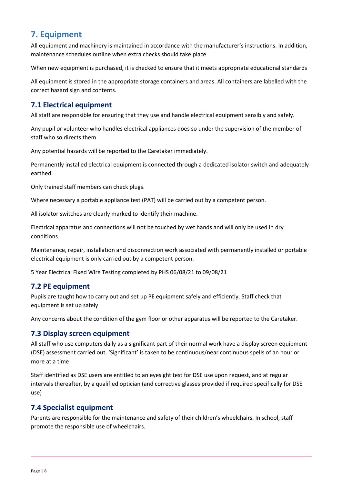## <span id="page-7-0"></span>**7. Equipment**

All equipment and machinery is maintained in accordance with the manufacturer's instructions. In addition, maintenance schedules outline when extra checks should take place

When new equipment is purchased, it is checked to ensure that it meets appropriate educational standards

All equipment is stored in the appropriate storage containers and areas. All containers are labelled with the correct hazard sign and contents.

#### <span id="page-7-1"></span>**7.1 Electrical equipment**

All staff are responsible for ensuring that they use and handle electrical equipment sensibly and safely.

Any pupil or volunteer who handles electrical appliances does so under the supervision of the member of staff who so directs them.

Any potential hazards will be reported to the Caretaker immediately.

Permanently installed electrical equipment is connected through a dedicated isolator switch and adequately earthed.

Only trained staff members can check plugs.

Where necessary a portable appliance test (PAT) will be carried out by a competent person.

All isolator switches are clearly marked to identify their machine.

Electrical apparatus and connections will not be touched by wet hands and will only be used in dry conditions.

Maintenance, repair, installation and disconnection work associated with permanently installed or portable electrical equipment is only carried out by a competent person.

5 Year Electrical Fixed Wire Testing completed by PHS 06/08/21 to 09/08/21

#### <span id="page-7-2"></span>**7.2 PE equipment**

Pupils are taught how to carry out and set up PE equipment safely and efficiently. Staff check that equipment is set up safely

Any concerns about the condition of the gym floor or other apparatus will be reported to the Caretaker.

#### <span id="page-7-3"></span>**7.3 Display screen equipment**

All staff who use computers daily as a significant part of their normal work have a display screen equipment (DSE) assessment carried out. 'Significant' is taken to be continuous/near continuous spells of an hour or more at a time

Staff identified as DSE users are entitled to an eyesight test for DSE use upon request, and at regular intervals thereafter, by a qualified optician (and corrective glasses provided if required specifically for DSE use)

#### <span id="page-7-4"></span>**7.4 Specialist equipment**

Parents are responsible for the maintenance and safety of their children's wheelchairs. In school, staff promote the responsible use of wheelchairs.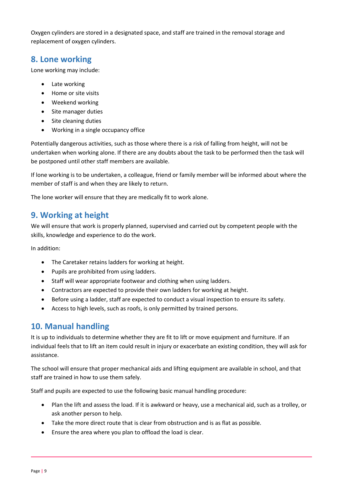Oxygen cylinders are stored in a designated space, and staff are trained in the removal storage and replacement of oxygen cylinders.

## <span id="page-8-0"></span>**8. Lone working**

Lone working may include:

- Late working
- Home or site visits
- Weekend working
- Site manager duties
- Site cleaning duties
- Working in a single occupancy office

Potentially dangerous activities, such as those where there is a risk of falling from height, will not be undertaken when working alone. If there are any doubts about the task to be performed then the task will be postponed until other staff members are available.

If lone working is to be undertaken, a colleague, friend or family member will be informed about where the member of staff is and when they are likely to return.

The lone worker will ensure that they are medically fit to work alone.

## <span id="page-8-1"></span>**9. Working at height**

We will ensure that work is properly planned, supervised and carried out by competent people with the skills, knowledge and experience to do the work.

In addition:

- The Caretaker retains ladders for working at height.
- Pupils are prohibited from using ladders.
- Staff will wear appropriate footwear and clothing when using ladders.
- Contractors are expected to provide their own ladders for working at height.
- Before using a ladder, staff are expected to conduct a visual inspection to ensure its safety.
- Access to high levels, such as roofs, is only permitted by trained persons.

## <span id="page-8-2"></span>**10. Manual handling**

It is up to individuals to determine whether they are fit to lift or move equipment and furniture. If an individual feels that to lift an item could result in injury or exacerbate an existing condition, they will ask for assistance.

The school will ensure that proper mechanical aids and lifting equipment are available in school, and that staff are trained in how to use them safely.

Staff and pupils are expected to use the following basic manual handling procedure:

- Plan the lift and assess the load. If it is awkward or heavy, use a mechanical aid, such as a trolley, or ask another person to help.
- Take the more direct route that is clear from obstruction and is as flat as possible.
- Ensure the area where you plan to offload the load is clear.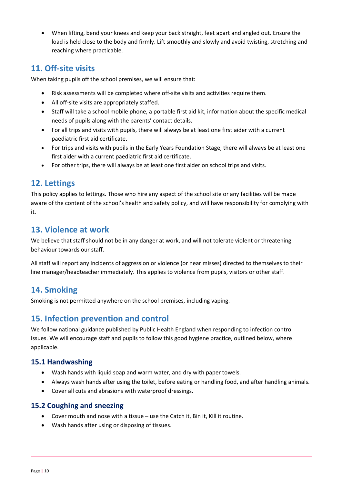When lifting, bend your knees and keep your back straight, feet apart and angled out. Ensure the load is held close to the body and firmly. Lift smoothly and slowly and avoid twisting, stretching and reaching where practicable.

## <span id="page-9-0"></span>**11. Off-site visits**

When taking pupils off the school premises, we will ensure that:

- Risk assessments will be completed where off-site visits and activities require them.
- All off-site visits are appropriately staffed.
- Staff will take a school mobile phone, a portable first aid kit, information about the specific medical needs of pupils along with the parents' contact details.
- For all trips and visits with pupils, there will always be at least one first aider with a current paediatric first aid certificate.
- For trips and visits with pupils in the Early Years Foundation Stage, there will always be at least one first aider with a current paediatric first aid certificate.
- For other trips, there will always be at least one first aider on school trips and visits.

## <span id="page-9-1"></span>**12. Lettings**

This policy applies to lettings. Those who hire any aspect of the school site or any facilities will be made aware of the content of the school's health and safety policy, and will have responsibility for complying with it.

## <span id="page-9-2"></span>**13. Violence at work**

We believe that staff should not be in any danger at work, and will not tolerate violent or threatening behaviour towards our staff.

All staff will report any incidents of aggression or violence (or near misses) directed to themselves to their line manager/headteacher immediately. This applies to violence from pupils, visitors or other staff.

## <span id="page-9-3"></span>**14. Smoking**

Smoking is not permitted anywhere on the school premises, including vaping.

## <span id="page-9-4"></span>**15. Infection prevention and control**

We follow national guidance published by Public Health England when responding to infection control issues. We will encourage staff and pupils to follow this good hygiene practice, outlined below, where applicable.

#### <span id="page-9-5"></span>**15.1 Handwashing**

- Wash hands with liquid soap and warm water, and dry with paper towels.
- Always wash hands after using the toilet, before eating or handling food, and after handling animals.
- Cover all cuts and abrasions with waterproof dressings.

#### <span id="page-9-6"></span>**15.2 Coughing and sneezing**

- Cover mouth and nose with a tissue use the Catch it, Bin it, Kill it routine.
- Wash hands after using or disposing of tissues.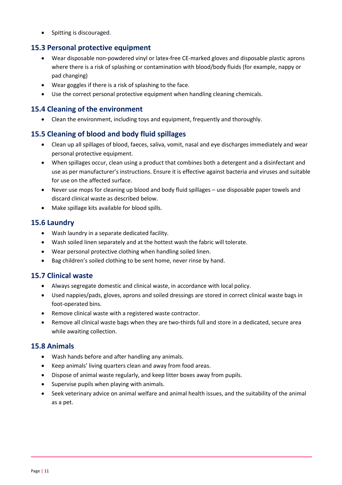• Spitting is discouraged.

#### <span id="page-10-0"></span>**15.3 Personal protective equipment**

- Wear disposable non-powdered vinyl or latex-free CE-marked gloves and disposable plastic aprons where there is a risk of splashing or contamination with blood/body fluids (for example, nappy or pad changing)
- Wear goggles if there is a risk of splashing to the face.
- Use the correct personal protective equipment when handling cleaning chemicals.

#### <span id="page-10-1"></span>**15.4 Cleaning of the environment**

Clean the environment, including toys and equipment, frequently and thoroughly.

#### <span id="page-10-2"></span>**15.5 Cleaning of blood and body fluid spillages**

- Clean up all spillages of blood, faeces, saliva, vomit, nasal and eye discharges immediately and wear personal protective equipment.
- When spillages occur, clean using a product that combines both a detergent and a disinfectant and use as per manufacturer's instructions. Ensure it is effective against bacteria and viruses and suitable for use on the affected surface.
- Never use mops for cleaning up blood and body fluid spillages use disposable paper towels and discard clinical waste as described below.
- Make spillage kits available for blood spills.

#### <span id="page-10-3"></span>**15.6 Laundry**

- Wash laundry in a separate dedicated facility.
- Wash soiled linen separately and at the hottest wash the fabric will tolerate.
- Wear personal protective clothing when handling soiled linen.
- Bag children's soiled clothing to be sent home, never rinse by hand.

#### <span id="page-10-4"></span>**15.7 Clinical waste**

- Always segregate domestic and clinical waste, in accordance with local policy.
- Used nappies/pads, gloves, aprons and soiled dressings are stored in correct clinical waste bags in foot-operated bins.
- Remove clinical waste with a registered waste contractor.
- Remove all clinical waste bags when they are two-thirds full and store in a dedicated, secure area while awaiting collection.

#### <span id="page-10-5"></span>**15.8 Animals**

- Wash hands before and after handling any animals.
- Keep animals' living quarters clean and away from food areas.
- Dispose of animal waste regularly, and keep litter boxes away from pupils.
- Supervise pupils when playing with animals.
- Seek veterinary advice on animal welfare and animal health issues, and the suitability of the animal as a pet.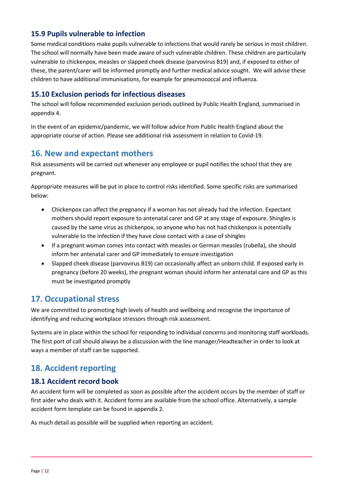#### <span id="page-11-0"></span>**15.9 Pupils vulnerable to infection**

Some medical conditions make pupils vulnerable to infections that would rarely be serious in most children. The school will normally have been made aware of such vulnerable children. These children are particularly vulnerable to chickenpox, measles or slapped cheek disease (parvovirus B19) and, if exposed to either of these, the parent/carer will be informed promptly and further medical advice sought. We will advise these children to have additional immunisations, for example for pneumococcal and influenza.

#### <span id="page-11-1"></span>**15.10 Exclusion periods for infectious diseases**

The school will follow recommended exclusion periods outlined by Public Health England, summarised in appendix 4.

In the event of an epidemic/pandemic, we will follow advice from Public Health England about the appropriate course of action. Please see additional risk assessment in relation to Covid-19.

## <span id="page-11-2"></span>**16. New and expectant mothers**

Risk assessments will be carried out whenever any employee or pupil notifies the school that they are pregnant.

Appropriate measures will be put in place to control risks identified. Some specific risks are summarised below:

- Chickenpox can affect the pregnancy if a woman has not already had the infection. Expectant mothers should report exposure to antenatal carer and GP at any stage of exposure. Shingles is caused by the same virus as chickenpox, so anyone who has not had chickenpox is potentially vulnerable to the infection if they have close contact with a case of shingles
- If a pregnant woman comes into contact with measles or German measles (rubella), she should inform her antenatal carer and GP immediately to ensure investigation
- Slapped cheek disease (parvovirus B19) can occasionally affect an unborn child. If exposed early in pregnancy (before 20 weeks), the pregnant woman should inform her antenatal care and GP as this must be investigated promptly

#### <span id="page-11-3"></span>**17. Occupational stress**

We are committed to promoting high levels of health and wellbeing and recognise the importance of identifying and reducing workplace stressors through risk assessment.

Systems are in place within the school for responding to individual concerns and monitoring staff workloads. The first port of call should always be a discussion with the line manager/Headteacher in order to look at ways a member of staff can be supported.

## <span id="page-11-4"></span>**18. Accident reporting**

#### <span id="page-11-5"></span>**18.1 Accident record book**

An accident form will be completed as soon as possible after the accident occurs by the member of staff or first aider who deals with it. Accident forms are available from the school office. Alternatively, a sample accident form template can be found in appendix 2.

As much detail as possible will be supplied when reporting an accident.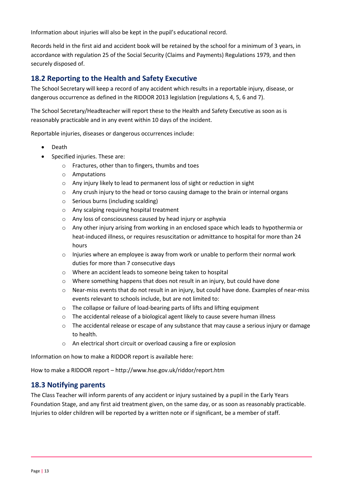Information about injuries will also be kept in the pupil's educational record.

Records held in the first aid and accident book will be retained by the school for a minimum of 3 years, in accordance with regulation 25 of the Social Security (Claims and Payments) Regulations 1979, and then securely disposed of.

#### <span id="page-12-0"></span>**18.2 Reporting to the Health and Safety Executive**

The School Secretary will keep a record of any accident which results in a reportable injury, disease, or dangerous occurrence as defined in the RIDDOR 2013 legislation (regulations 4, 5, 6 and 7).

The School Secretary/Headteacher will report these to the Health and Safety Executive as soon as is reasonably practicable and in any event within 10 days of the incident.

Reportable injuries, diseases or dangerous occurrences include:

- Death
- Specified injuries. These are:
	- o Fractures, other than to fingers, thumbs and toes
	- o Amputations
	- o Any injury likely to lead to permanent loss of sight or reduction in sight
	- o Any crush injury to the head or torso causing damage to the brain or internal organs
	- o Serious burns (including scalding)
	- o Any scalping requiring hospital treatment
	- o Any loss of consciousness caused by head injury or asphyxia
	- o Any other injury arising from working in an enclosed space which leads to hypothermia or heat-induced illness, or requires resuscitation or admittance to hospital for more than 24 hours
	- $\circ$  Injuries where an employee is away from work or unable to perform their normal work duties for more than 7 consecutive days
	- o Where an accident leads to someone being taken to hospital
	- o Where something happens that does not result in an injury, but could have done
	- o Near-miss events that do not result in an injury, but could have done. Examples of near-miss events relevant to schools include, but are not limited to:
	- o The collapse or failure of load-bearing parts of lifts and lifting equipment
	- o The accidental release of a biological agent likely to cause severe human illness
	- $\circ$  The accidental release or escape of any substance that may cause a serious injury or damage to health.
	- o An electrical short circuit or overload causing a fire or explosion

Information on how to make a RIDDOR report is available here:

How to make a RIDDOR report – http://www.hse.gov.uk/riddor/report.htm

#### <span id="page-12-1"></span>**18.3 Notifying parents**

The Class Teacher will inform parents of any accident or injury sustained by a pupil in the Early Years Foundation Stage, and any first aid treatment given, on the same day, or as soon as reasonably practicable. Injuries to older children will be reported by a written note or if significant, be a member of staff.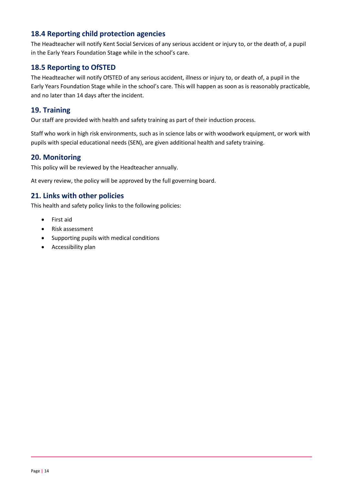#### <span id="page-13-0"></span>**18.4 Reporting child protection agencies**

The Headteacher will notify Kent Social Services of any serious accident or injury to, or the death of, a pupil in the Early Years Foundation Stage while in the school's care.

#### <span id="page-13-1"></span>**18.5 Reporting to OfSTED**

The Headteacher will notify OfSTED of any serious accident, illness or injury to, or death of, a pupil in the Early Years Foundation Stage while in the school's care. This will happen as soon as is reasonably practicable, and no later than 14 days after the incident.

#### <span id="page-13-2"></span>**19. Training**

Our staff are provided with health and safety training as part of their induction process.

Staff who work in high risk environments, such as in science labs or with woodwork equipment, or work with pupils with special educational needs (SEN), are given additional health and safety training.

#### <span id="page-13-3"></span>**20. Monitoring**

This policy will be reviewed by the Headteacher annually.

At every review, the policy will be approved by the full governing board.

#### <span id="page-13-4"></span>**21. Links with other policies**

This health and safety policy links to the following policies:

- First aid
- Risk assessment
- Supporting pupils with medical conditions
- Accessibility plan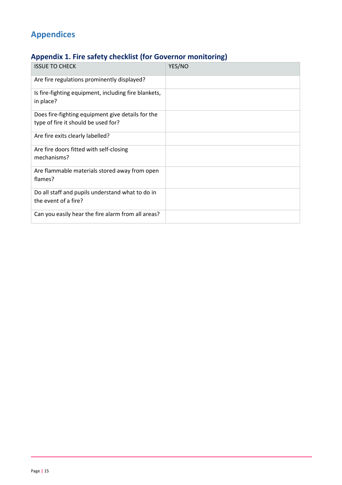# <span id="page-14-0"></span>**Appendices**

# <span id="page-14-1"></span>**Appendix 1. Fire safety checklist (for Governor monitoring)**

| <b>ISSUE TO CHECK</b>                                             | YES/NO |
|-------------------------------------------------------------------|--------|
| Are fire regulations prominently displayed?                       |        |
| Is fire-fighting equipment, including fire blankets,<br>in place? |        |
| Does fire-fighting equipment give details for the                 |        |
| type of fire it should be used for?                               |        |
| Are fire exits clearly labelled?                                  |        |
| Are fire doors fitted with self-closing                           |        |
| mechanisms?                                                       |        |
| Are flammable materials stored away from open<br>flames?          |        |
| Do all staff and pupils understand what to do in                  |        |
| the event of a fire?                                              |        |
| Can you easily hear the fire alarm from all areas?                |        |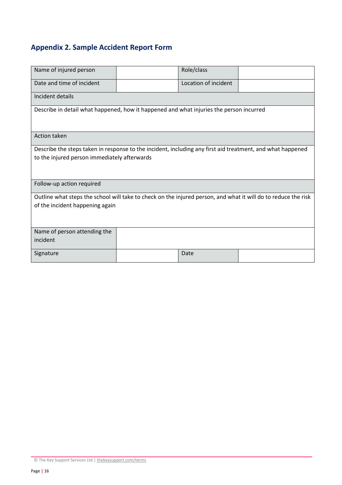# <span id="page-15-0"></span>**Appendix 2. Sample Accident Report Form**

| Name of injured person                                                                                                                                     |  | Role/class           |  |  |
|------------------------------------------------------------------------------------------------------------------------------------------------------------|--|----------------------|--|--|
| Date and time of incident                                                                                                                                  |  | Location of incident |  |  |
| Incident details                                                                                                                                           |  |                      |  |  |
| Describe in detail what happened, how it happened and what injuries the person incurred                                                                    |  |                      |  |  |
| Action taken                                                                                                                                               |  |                      |  |  |
| Describe the steps taken in response to the incident, including any first aid treatment, and what happened<br>to the injured person immediately afterwards |  |                      |  |  |
| Follow-up action required                                                                                                                                  |  |                      |  |  |
| Outline what steps the school will take to check on the injured person, and what it will do to reduce the risk<br>of the incident happening again          |  |                      |  |  |
| Name of person attending the<br>incident                                                                                                                   |  |                      |  |  |
| Signature                                                                                                                                                  |  | Date                 |  |  |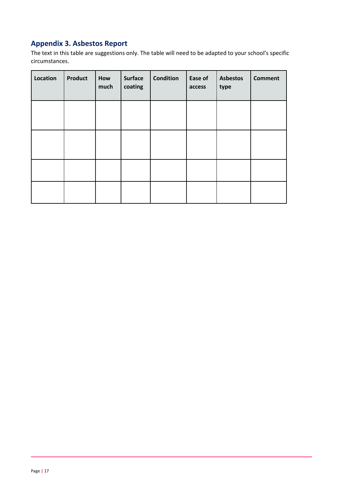# <span id="page-16-0"></span>**Appendix 3. Asbestos Report**

The text in this table are suggestions only. The table will need to be adapted to your school's specific circumstances.

| Location | <b>Product</b> | How<br>much | <b>Surface</b><br>coating | <b>Condition</b> | Ease of<br>access | <b>Asbestos</b><br>type | <b>Comment</b> |
|----------|----------------|-------------|---------------------------|------------------|-------------------|-------------------------|----------------|
|          |                |             |                           |                  |                   |                         |                |
|          |                |             |                           |                  |                   |                         |                |
|          |                |             |                           |                  |                   |                         |                |
|          |                |             |                           |                  |                   |                         |                |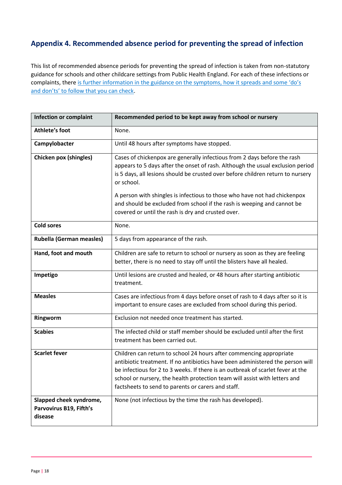## <span id="page-17-0"></span>**Appendix 4. Recommended absence period for preventing the spread of infection**

This list of recommended absence periods for preventing the spread of infection is taken from non-statutory guidance for schools and other childcare settings from Public Health England. For each of these infections or complaints, there [is further information in the guidance on the symptoms, how](https://www.gov.uk/government/publications/health-protection-in-schools-and-other-childcare-facilities/chapter-9-managing-specific-infectious-diseases) it spreads and some 'do's [and don'ts' to follow that you can check](https://www.gov.uk/government/publications/health-protection-in-schools-and-other-childcare-facilities/chapter-9-managing-specific-infectious-diseases).

| <b>Infection or complaint</b>                                 | Recommended period to be kept away from school or nursery                                                                                                                                                                                                                                                                                                                    |
|---------------------------------------------------------------|------------------------------------------------------------------------------------------------------------------------------------------------------------------------------------------------------------------------------------------------------------------------------------------------------------------------------------------------------------------------------|
| <b>Athlete's foot</b>                                         | None.                                                                                                                                                                                                                                                                                                                                                                        |
| Campylobacter                                                 | Until 48 hours after symptoms have stopped.                                                                                                                                                                                                                                                                                                                                  |
| <b>Chicken pox (shingles)</b>                                 | Cases of chickenpox are generally infectious from 2 days before the rash<br>appears to 5 days after the onset of rash. Although the usual exclusion period<br>is 5 days, all lesions should be crusted over before children return to nursery<br>or school.                                                                                                                  |
|                                                               | A person with shingles is infectious to those who have not had chickenpox<br>and should be excluded from school if the rash is weeping and cannot be<br>covered or until the rash is dry and crusted over.                                                                                                                                                                   |
| <b>Cold sores</b>                                             | None.                                                                                                                                                                                                                                                                                                                                                                        |
| <b>Rubella (German measles)</b>                               | 5 days from appearance of the rash.                                                                                                                                                                                                                                                                                                                                          |
| Hand, foot and mouth                                          | Children are safe to return to school or nursery as soon as they are feeling<br>better, there is no need to stay off until the blisters have all healed.                                                                                                                                                                                                                     |
| Impetigo                                                      | Until lesions are crusted and healed, or 48 hours after starting antibiotic<br>treatment.                                                                                                                                                                                                                                                                                    |
| <b>Measles</b>                                                | Cases are infectious from 4 days before onset of rash to 4 days after so it is<br>important to ensure cases are excluded from school during this period.                                                                                                                                                                                                                     |
| Ringworm                                                      | Exclusion not needed once treatment has started.                                                                                                                                                                                                                                                                                                                             |
| <b>Scabies</b>                                                | The infected child or staff member should be excluded until after the first<br>treatment has been carried out.                                                                                                                                                                                                                                                               |
| <b>Scarlet fever</b>                                          | Children can return to school 24 hours after commencing appropriate<br>antibiotic treatment. If no antibiotics have been administered the person will<br>be infectious for 2 to 3 weeks. If there is an outbreak of scarlet fever at the<br>school or nursery, the health protection team will assist with letters and<br>factsheets to send to parents or carers and staff. |
| Slapped cheek syndrome,<br>Parvovirus B19, Fifth's<br>disease | None (not infectious by the time the rash has developed).                                                                                                                                                                                                                                                                                                                    |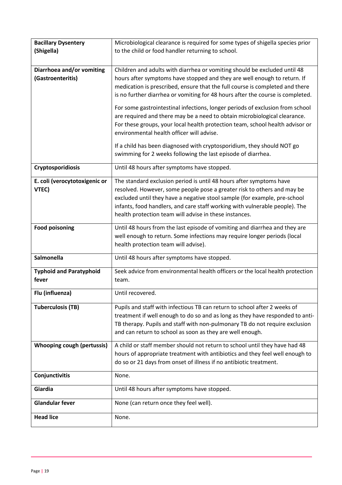| <b>Bacillary Dysentery</b>                     | Microbiological clearance is required for some types of shigella species prior                                                                                                                                                                                                                                                                                       |
|------------------------------------------------|----------------------------------------------------------------------------------------------------------------------------------------------------------------------------------------------------------------------------------------------------------------------------------------------------------------------------------------------------------------------|
| (Shigella)                                     | to the child or food handler returning to school.                                                                                                                                                                                                                                                                                                                    |
|                                                |                                                                                                                                                                                                                                                                                                                                                                      |
| Diarrhoea and/or vomiting<br>(Gastroenteritis) | Children and adults with diarrhea or vomiting should be excluded until 48<br>hours after symptoms have stopped and they are well enough to return. If<br>medication is prescribed, ensure that the full course is completed and there<br>is no further diarrhea or vomiting for 48 hours after the course is completed.                                              |
|                                                | For some gastrointestinal infections, longer periods of exclusion from school<br>are required and there may be a need to obtain microbiological clearance.<br>For these groups, your local health protection team, school health advisor or<br>environmental health officer will advise.                                                                             |
|                                                | If a child has been diagnosed with cryptosporidium, they should NOT go<br>swimming for 2 weeks following the last episode of diarrhea.                                                                                                                                                                                                                               |
| Cryptosporidiosis                              | Until 48 hours after symptoms have stopped.                                                                                                                                                                                                                                                                                                                          |
| E. coli (verocytotoxigenic or<br>VTEC)         | The standard exclusion period is until 48 hours after symptoms have<br>resolved. However, some people pose a greater risk to others and may be<br>excluded until they have a negative stool sample (for example, pre-school<br>infants, food handlers, and care staff working with vulnerable people). The<br>health protection team will advise in these instances. |
| <b>Food poisoning</b>                          | Until 48 hours from the last episode of vomiting and diarrhea and they are<br>well enough to return. Some infections may require longer periods (local<br>health protection team will advise).                                                                                                                                                                       |
| Salmonella                                     | Until 48 hours after symptoms have stopped.                                                                                                                                                                                                                                                                                                                          |
| <b>Typhoid and Paratyphoid</b><br>fever        | Seek advice from environmental health officers or the local health protection<br>team.                                                                                                                                                                                                                                                                               |
| Flu (influenza)                                | Until recovered.                                                                                                                                                                                                                                                                                                                                                     |
| <b>Tuberculosis (TB)</b>                       | Pupils and staff with infectious TB can return to school after 2 weeks of<br>treatment if well enough to do so and as long as they have responded to anti-<br>TB therapy. Pupils and staff with non-pulmonary TB do not require exclusion<br>and can return to school as soon as they are well enough.                                                               |
| <b>Whooping cough (pertussis)</b>              | A child or staff member should not return to school until they have had 48<br>hours of appropriate treatment with antibiotics and they feel well enough to<br>do so or 21 days from onset of illness if no antibiotic treatment.                                                                                                                                     |
| Conjunctivitis                                 | None.                                                                                                                                                                                                                                                                                                                                                                |
| Giardia                                        | Until 48 hours after symptoms have stopped.                                                                                                                                                                                                                                                                                                                          |
| <b>Glandular fever</b>                         | None (can return once they feel well).                                                                                                                                                                                                                                                                                                                               |
| <b>Head lice</b>                               | None.                                                                                                                                                                                                                                                                                                                                                                |